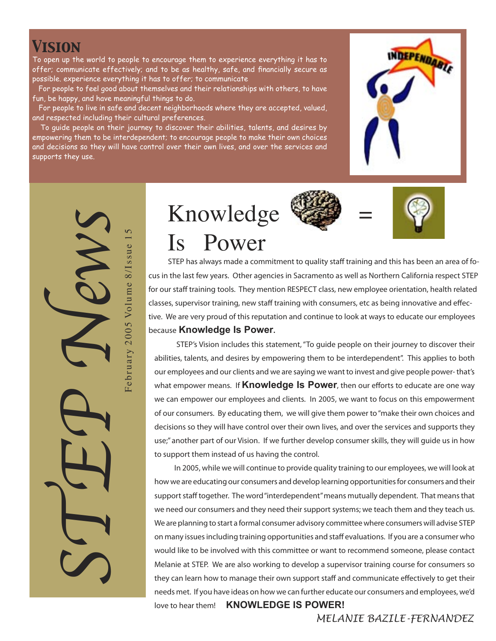### *Vision*

To open up the world to people to encourage them to experience everything it has to offer; communicate effectively; and to be as healthy, safe, and financially secure as possible. experience everything it has to offer; to communicate

 For people to feel good about themselves and their relationships with others, to have fun, be happy, and have meaningful things to do.

 For people to live in safe and decent neighborhoods where they are accepted, valued, and respected including their cultural preferences.

 To guide people on their journey to discover their abilities, talents, and desires by empowering them to be interdependent; to encourage people to make their own choices and decisions so they will have control over their own lives, and over the services and supports they use.



STEP News  $\mathsf{S}$ F e b r u a r y 2 0 0 5 Vo l u m e 8 / I s s u e 1 February 2005 Volume 8/Issue

Knowledge = Is Power

**STEP has always made a commitment to quality staff training and this has been an area of focus in the last few years. Other agencies in Sacramento as well as Northern California respect STEP for our staff training tools. They mention RESPECT class, new employee orientation, health related classes, supervisor training, new staff training with consumers, etc as being innovative and effective. We are very proud of this reputation and continue to look at ways to educate our employees because Knowledge Is Power.**

 **STEP's Vision includes this statement, "To guide people on their journey to discover their abilities, talents, and desires by empowering them to be interdependent". This applies to both our employees and our clients and we are saying we want to invest and give people power- that's what empower means. If Knowledge Is Power, then our efforts to educate are one way we can empower our employees and clients. In 2005, we want to focus on this empowerment of our consumers. By educating them, we will give them power to "make their own choices and decisions so they will have control over their own lives, and over the services and supports they use;" another part of our Vision. If we further develop consumer skills, they will guide us in how to support them instead of us having the control.**

 **In 2005, while we will continue to provide quality training to our employees, we will look at how we are educating our consumers and develop learning opportunities for consumers and their support staff together. The word "interdependent" means mutually dependent. That means that we need our consumers and they need their support systems; we teach them and they teach us. We are planning to start a formal consumer advisory committee where consumers will advise STEP on many issues including training opportunities and staff evaluations. If you are a consumer who would like to be involved with this committee or want to recommend someone, please contact Melanie at STEP. We are also working to develop a supervisor training course for consumers so they can learn how to manage their own support staff and communicate effectively to get their needs met. If you have ideas on how we can further educate our consumers and employees, we'd love to hear them! KNOWLEDGE IS POWER!**

 *MELANIE BAZILE-FERNANDEZ*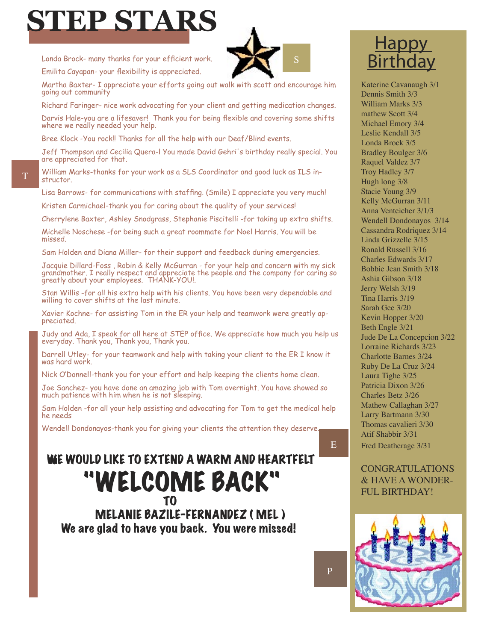

Londa Brock- many thanks for your efficient work.

Emilita Cayapan- your flexibility is appreciated.



Martha Baxter- I appreciate your efforts going out walk with scott and encourage him going out community

Richard Faringer- nice work advocating for your client and getting medication changes. Darvis Hale-you are a lifesaver! Thank you for being flexible and covering some shifts where we really needed your help.

Bree Klock -You rock!! Thanks for all the help with our Deaf/Blind events.

Jeff Thompson and Cecilia Quera-l You made David Gehri's birthday really special. You are appreciated for that.

William Marks-thanks for your work as a SLS Coordinator and good luck as ILS instructor.

Lisa Barrows- for communications with staffing. (Smile) I appreciate you very much!

Kristen Carmichael-thank you for caring about the quality of your services!

Cherrylene Baxter, Ashley Snodgrass, Stephanie Piscitelli -for taking up extra shifts.

Michelle Noschese -for being such a great roommate for Noel Harris. You will be missed.

Sam Holden and Diana Miller- for their support and feedback during emergencies.

Jacquie Dillard-Foss , Robin & Kelly McGurran - for your help and concern with my sick grandmother. I really respect and appreciate the people and the company for caring so greatly about your employees. THANK-YOU!.

Stan Willis -for all his extra help with his clients. You have been very dependable and willing to cover shifts at the last minute.

Xavier Kochne- for assisting Tom in the ER your help and teamwork were greatly appreciated.

Judy and Ada, I speak for all here at STEP office. We appreciate how much you help us everyday. Thank you, Thank you, Thank you.

Darrell Utley- for your teamwork and help with taking your client to the ER I know it was hard work.

Nick O'Donnell-thank you for your effort and help keeping the clients home clean.

Joe Sanchez- you have done an amazing job with Tom overnight. You have showed so much patience with him when he is not sleeping.

Sam Holden -for all your help assisting and advocating for Tom to get the medical help he needs

Wendell Dondonayos-thank you for giving your clients the attention they deserve.

# WE WOULD LIKE TO EXTEND A WARM AND HEARTFELT "WELCOME BACK" T<sub>o</sub> and the state of the state of the state of the state of the state of the state of the state of the state of the state of the state of the state of the state of the state of the state of the state of the state of the s

 MELANIE BAZILE-FERNANDEZ ( MEL ) We are glad to have you back. You were missed!

# **Happy Birthday**

Katerine Cavanaugh 3/1 Dennis Smith 3/3 William Marks 3/3 mathew Scott 3/4 Michael Emory 3/4 Leslie Kendall 3/5 Londa Brock 3/5 Bradley Boulger 3/6 Raquel Valdez 3/7 Troy Hadley 3/7 Hugh long 3/8 Stacie Young 3/9 Kelly McGurran 3/11 Anna Venteicher 3/1/3 Wendell Dondonayos 3/14 Cassandra Rodriquez 3/14 Linda Grizzelle 3/15 Ronald Russell 3/16 Charles Edwards 3/17 Bobbie Jean Smith 3/18 Ashia Gibson 3/18 Jerry Welsh 3/19 Tina Harris 3/19 Sarah Gee 3/20 Kevin Hopper 3/20 Beth Engle 3/21 Jude De La Concepcion 3/22 Lorraine Richards 3/23 Charlotte Barnes 3/24 Ruby De La Cruz 3/24 Laura Tighe 3/25 Patricia Dixon 3/26 Charles Betz 3/26 Mathew Callaghan 3/27 Larry Bartmann 3/30 Thomas cavalieri 3/30 Atif Shabbir 3/31 Fred Deatherage 3/31

#### CONGRATULATIONS & HAVE A WONDER-FUL BIRTHDAY!

E

P

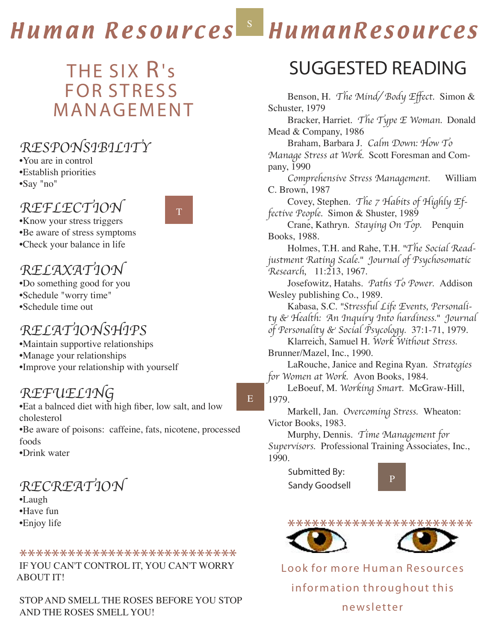#### HumanResources S Human Resources

E

# THE SIX R's **FOR STRESS MANAGEMENT**

### RESPONSIBILITY

•You are in control •Establish priorities •Say "no"

### REFLECTION

T

•Know your stress triggers •Be aware of stress symptoms •Check your balance in life

### RELAXATION

•Do something good for you •Schedule "worry time" •Schedule time out

## RELATIONSHIPS

•Maintain supportive relationships •Manage your relationships •Improve your relationship with yourself

### REFUELING

•Eat a balnced diet with high fiber, low salt, and low cholesterol •Be aware of poisons: caffeine, fats, nicotene, processed foods •Drink water

### RECREATION

•Laugh •Have fun •Enjoy life

## \*\*\*\*\*\*\*\*\*\*\*\*\*\*\*\*\*\*\*\*\*\*\*\*\*\*\* IF YOU CAN'T CONTROL IT, YOU CAN'T WORRY ABOUT IT!

STOP AND SMELL THE ROSES BEFORE YOU STOP AND THE ROSES SMELL YOU!

# *SUGGESTED READING*

Benson, H. The Mind/ Body Effect. Simon & Schuster, 1979

Bracker, Harriet. The Type E Woman. Donald Mead & Company, 1986

Braham, Barbara J. Calm Down: How To Manage Stress at Work. Scott Foresman and Company, 1990

Comprehensive Stress Management. William C. Brown, 1987

Covey, Stephen. The 7 Habits of Highly Effective People. Simon & Shuster, 1989

Crane, Kathryn. Staying On Top. Penquin Books, 1988.

Holmes, T.H. and Rahe, T.H. "The Social Readjustment Rating Scale." Journal of Psychosomatic Research, 11:213, 1967.

Josefowitz, Hatahs. Paths To Power. Addison Wesley publishing Co., 1989.

Kabasa, S.C. "Stressful Life Events, Personality & Health: An Inquiry Into hardiness." Journal of Personality & Social Psycology. 37:1-71, 1979.

Klarreich, Samuel H. Work Without Stress. Brunner/Mazel, Inc., 1990.

LaRouche, Janice and Regina Ryan. Strategies for Women at Work. Avon Books, 1984.

LeBoeuf, M. Working Smart. McGraw-Hill, 1979.

Markell, Jan. Overcoming Stress. Wheaton: Victor Books, 1983.

Murphy, Dennis. Time Management for Supervisors. Professional Training Associates, Inc., 1990.

**Submitted By: Sandy Goodsell**





Look for more Human Resources information throughout this newsletter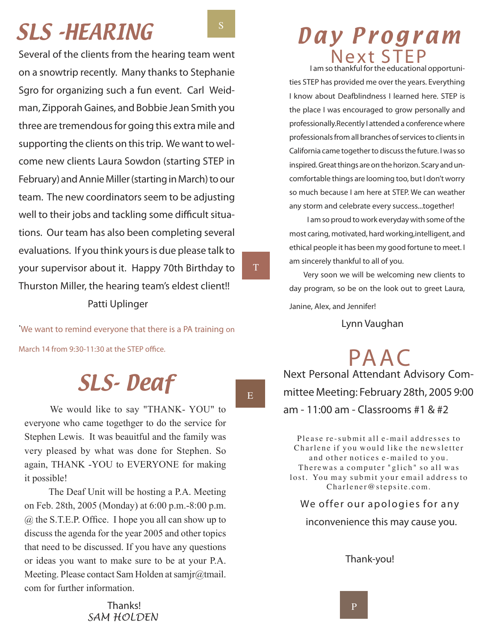*Several of the clients from the hearing team went on a snowtrip recently. Many thanks to Stephanie Sgro for organizing such a fun event. Carl Weidman, Zipporah Gaines, and Bobbie Jean Smith you three are tremendous for going this extra mile and supporting the clients on this trip. We want to welcome new clients Laura Sowdon (starting STEP in February) and Annie Miller (starting in March) to our team. The new coordinators seem to be adjusting well to their jobs and tackling some difficult situations. Our team has also been completing several evaluations. If you think yours is due please talk to your supervisor about it. Happy 70th Birthday to Thurston Miller, the hearing team's eldest client!! Patti Uplinger*

*.* We want to remind everyone that there is a PA training on March 14 from 9:30-11:30 at the STEP office.

# SLS- Deaf

 We would like to say "THANK- YOU" to everyone who came togethger to do the service for Stephen Lewis. It was beauitful and the family was very pleased by what was done for Stephen. So again, THANK -YOU to EVERYONE for making it possible!

 The Deaf Unit will be hosting a P.A. Meeting on Feb. 28th, 2005 (Monday) at 6:00 p.m.-8:00 p.m. @ the S.T.E.P. Office. I hope you all can show up to discuss the agenda for the year 2005 and other topics that need to be discussed. If you have any questions or ideas you want to make sure to be at your P.A. Meeting. Please contact Sam Holden at samjr@tmail. com for further information.

SLS-HEARING SALS Day Program Next STEP  **I am so thankful for the educational opportuni-**

**ties STEP has provided me over the years. Everything I know about Deafblindness I learned here. STEP is the place I was encouraged to grow personally and professionally.Recently I attended a conference where professionals from all branches of services to clients in California came together to discuss the future. I was so inspired. Great things are on the horizon. Scary and uncomfortable things are looming too, but I don't worry so much because I am here at STEP. We can weather any storm and celebrate every success...together!**

 **I am so proud to work everyday with some of the most caring, motivated, hard working,intelligent, and ethical people it has been my good fortune to meet. I am sincerely thankful to all of you.**

**Very soon we will be welcoming new clients to day program, so be on the look out to greet Laura, Janine, Alex, and Jennifer!**

 *Lynn Vaughan*

PA AC *Next Personal Attendant Advisory Committee Meeting: February 28th, 2005 9:00 am - 11:00 am - Classrooms #1 & #2*

Please re-submit all e-mail addresses to Charlene if you would like the newsletter and other notices e-mailed to you. Therewas a computer "glich" so all was lost. You may submit your email address to Charlener@stepsite.com.

#### *We o f fe r ou r a p o l o gi e s fo r a ny*

 *inconvenience this may cause you.* 

#### *Thank-you!*

 *Thanks! SAM HOLDEN*  E

T

S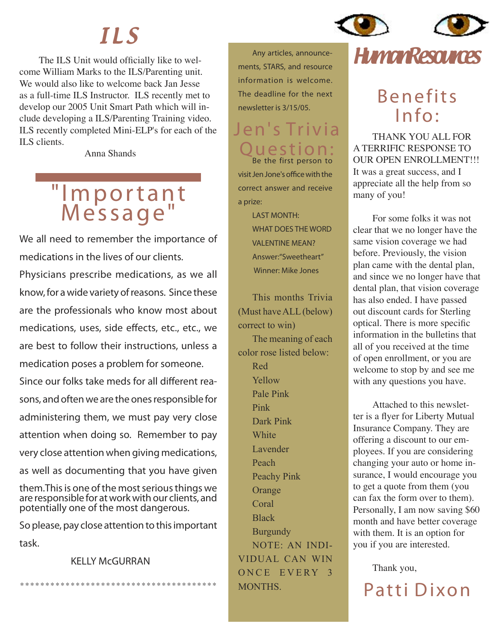# I L S

The ILS Unit would officially like to welcome William Marks to the ILS/Parenting unit. We would also like to welcome back Jan Jesse as a full-time ILS Instructor. ILS recently met to develop our 2005 Unit Smart Path which will include developing a ILS/Parenting Training video. ILS recently completed Mini-ELP's for each of the ILS clients.

Anna Shands

# " I m p o r t a n t Message"

*We all need to remember the importance of medications in the lives of our clients. Physicians prescribe medications, as we all know, for a wide variety of reasons. Since these are the professionals who know most about medications, uses, side effects, etc., etc., we are best to follow their instructions, unless a* 

*medication poses a problem for someone. Since our folks take meds for all different reasons, and often we are the ones responsible for administering them, we must pay very close attention when doing so. Remember to pay very close attention when giving medications, as well as documenting that you have given* 

*them.This is one of the most serious things we are responsible for at work with our clients, and potentially one of the most dangerous.* 

*So please, pay close attention to this important task.*

\* \* \* \* \* \* \* \* \* \* \* \* \* \* \* \* \* \* \* \* \* \* \* \* \* \* \* \* \* \* \* \* \* \* \* \* \* \* \*

#### *KELLY McGURRAN*

**Any articles, announcements, STARS, and resource information is welcome. The deadline for the next newsletter is 3/15/05.**

### Jen's Trivia Question **Be the first person to**

**visit Jen Jone's office with the correct answer and receive a prize:** 

> LAST MONTH: WHAT DOES THE WORD VALENTINE MEAN? **Answer:"Sweetheart" Winner: Mike Jones**

This months Trivia (Must have ALL (below) correct to win)

The meaning of each color rose listed below: Red Yellow Pale Pink Pink Dark Pink **White** Lavender Peach Peachy Pink **Orange** Coral Black **Burgundy** NOTE: AN INDI-VIDUAL CAN WIN ONCE EVERY 3 MONTHS.



# **Benefits**  $Info:$

THANK YOU ALL FOR A TERRIFIC RESPONSE TO OUR OPEN ENROLLMENT!!! It was a great success, and I appreciate all the help from so many of you!

For some folks it was not clear that we no longer have the same vision coverage we had before. Previously, the vision plan came with the dental plan, and since we no longer have that dental plan, that vision coverage has also ended. I have passed out discount cards for Sterling optical. There is more specific information in the bulletins that all of you received at the time of open enrollment, or you are welcome to stop by and see me with any questions you have.

Attached to this newsletter is a flyer for Liberty Mutual Insurance Company. They are offering a discount to our employees. If you are considering changing your auto or home insurance, I would encourage you to get a quote from them (you can fax the form over to them). Personally, I am now saving \$60 month and have better coverage with them. It is an option for you if you are interested.

Thank you,

Patti Dixon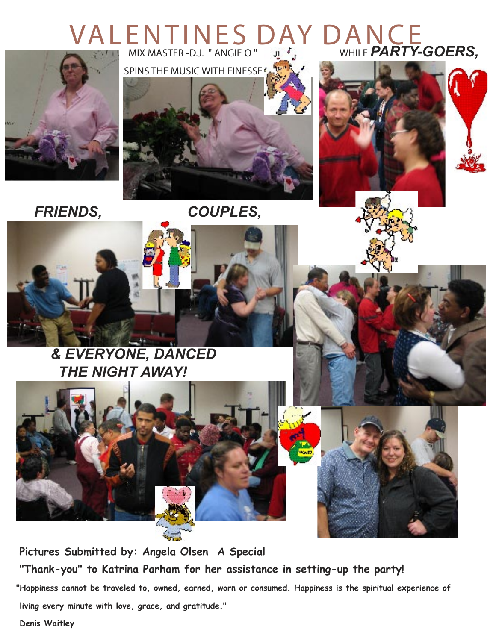# VALENTINES DAY DANCE *MIX MASTER -D.J. " ANGIE O "*  $\mathbf{u} \cdot \mathbf{f}$  while **PARTY-GOERS**,



 *SPINS THE MUSIC WITH FINESSE* 







 *FRIENDS, COUPLES,* 





 **Pictures Submitted by: Angela Olsen A Special "Thank-you" to Katrina Parham for her assistance in setting-up the party! "Happiness cannot be traveled to, owned, earned, worn or consumed. Happiness is the spiritual experience of living every minute with love, grace, and gratitude."**

 **Denis Waitley**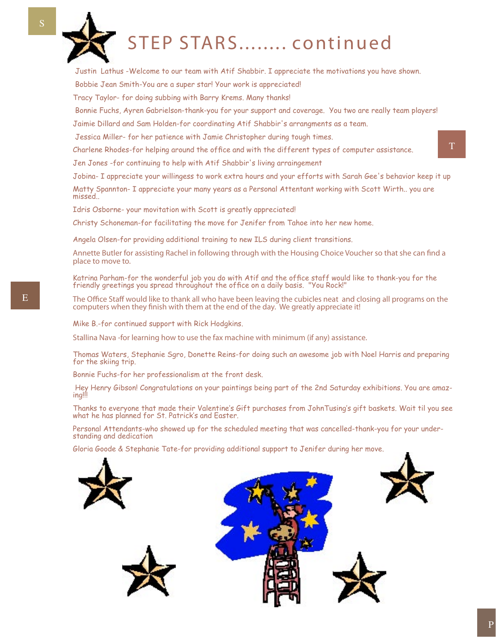

S

# STEP STARS ........ continued

Justin Lathus -Welcome to our team with Atif Shabbir. I appreciate the motivations you have shown.

Bobbie Jean Smith-You are a super star! Your work is appreciated!

Tracy Taylor- for doing subbing with Barry Krems. Many thanks!

Bonnie Fuchs, Ayren Gabrielson-thank-you for your support and coverage. You two are really team players!

Jaimie Dillard and Sam Holden-for coordinating Atif Shabbir's arrangments as a team.

Jessica Miller- for her patience with Jamie Christopher during tough times.

Charlene Rhodes-for helping around the office and with the different types of computer assistance.

Jen Jones -for continuing to help with Atif Shabbir's living arraingement

Jobina- I appreciate your willingess to work extra hours and your efforts with Sarah Gee's behavior keep it up Matty Spannton- I appreciate your many years as a Personal Attentant working with Scott Wirth.. you are missed..

Idris Osborne- your movitation with Scott is greatly appreciated!

Christy Schoneman-for facilitating the move for Jenifer from Tahoe into her new home.

Angela Olsen-for providing additional training to new ILS during client transitions.

*Annette Butler for assisting Rachel in following through with the Housing Choice Voucher so that she can find a place to move to.*

Katrina Parham-for the wonderful job you do with Atif and the office staff would like to thank-you for the friendly greetings you spread throughout the office on a daily basis. "You Rock!"

*The Office Staff would like to thank all who have been leaving the cubicles neat and closing all programs on the computers when they finish with them at the end of the day. We greatly appreciate it!*

Mike B.-for continued support with Rick Hodgkins.

*Stallina Nava -for learning how to use the fax machine with minimum (if any) assistance.*

Thomas Waters, Stephanie Sgro, Donette Reins-for doing such an awesome job with Noel Harris and preparing for the skiing trip.

Bonnie Fuchs-for her professionalism at the front desk.

 Hey Henry Gibson! Congratulations on your paintings being part of the 2nd Saturday exhibitions. You are amazing!!!

Thanks to everyone that made their Valentine's Gift purchases from JohnTusing's gift baskets. Wait til you see what he has planned for St. Patrick's and Easter.

Personal Attendants-who showed up for the scheduled meeting that was cancelled-thank-you for your understanding and dedication

Gloria Goode & Stephanie Tate-for providing additional support to Jenifer during her move.







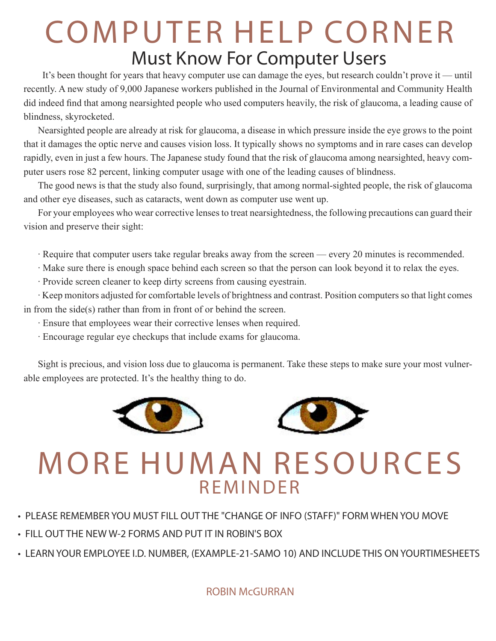# COMPUTER HELP CORNER  *Must Know For Computer Users*

 It's been thought for years that heavy computer use can damage the eyes, but research couldn't prove it — until recently. A new study of 9,000 Japanese workers published in the Journal of Environmental and Community Health did indeed find that among nearsighted people who used computers heavily, the risk of glaucoma, a leading cause of blindness, skyrocketed.

Nearsighted people are already at risk for glaucoma, a disease in which pressure inside the eye grows to the point that it damages the optic nerve and causes vision loss. It typically shows no symptoms and in rare cases can develop rapidly, even in just a few hours. The Japanese study found that the risk of glaucoma among nearsighted, heavy computer users rose 82 percent, linking computer usage with one of the leading causes of blindness.

The good news is that the study also found, surprisingly, that among normal-sighted people, the risk of glaucoma and other eye diseases, such as cataracts, went down as computer use went up.

For your employees who wear corrective lenses to treat nearsightedness, the following precautions can guard their vision and preserve their sight:

- · Require that computer users take regular breaks away from the screen every 20 minutes is recommended.
- · Make sure there is enough space behind each screen so that the person can look beyond it to relax the eyes.
- · Provide screen cleaner to keep dirty screens from causing eyestrain.

· Keep monitors adjusted for comfortable levels of brightness and contrast. Position computers so that light comes in from the side(s) rather than from in front of or behind the screen.

- · Ensure that employees wear their corrective lenses when required.
- · Encourage regular eye checkups that include exams for glaucoma.

Sight is precious, and vision loss due to glaucoma is permanent. Take these steps to make sure your most vulnerable employees are protected. It's the healthy thing to do.





# **MORE HUMAN RESOURCES R F M I N D F R**

- *PLEASE REMEMBER YOU MUST FILL OUT THE "CHANGE OF INFO (STAFF)" FORM WHEN YOU MOVE*
- *FILL OUT THE NEW W-2 FORMS AND PUT IT IN ROBIN'S BOX*
- *LEARN YOUR EMPLOYEE I.D. NUMBER, (EXAMPLE-21-SAMO 10) AND INCLUDE THIS ON YOURTIMESHEETS*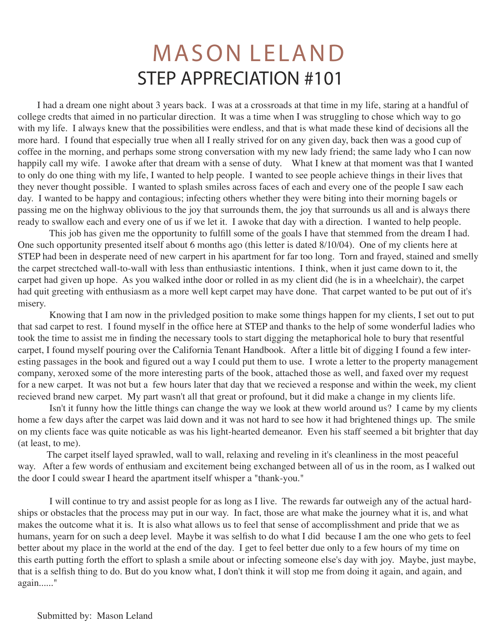# **MASON LELAND** STEP APPRECIATION #101

I had a dream one night about 3 years back. I was at a crossroads at that time in my life, staring at a handful of college credts that aimed in no particular direction. It was a time when I was struggling to chose which way to go with my life. I always knew that the possibilities were endless, and that is what made these kind of decisions all the more hard. I found that especially true when all I really strived for on any given day, back then was a good cup of coffee in the morning, and perhaps some strong conversation with my new lady friend; the same lady who I can now happily call my wife. I awoke after that dream with a sense of duty. What I knew at that moment was that I wanted to only do one thing with my life, I wanted to help people. I wanted to see people achieve things in their lives that they never thought possible. I wanted to splash smiles across faces of each and every one of the people I saw each day. I wanted to be happy and contagious; infecting others whether they were biting into their morning bagels or passing me on the highway oblivious to the joy that surrounds them, the joy that surrounds us all and is always there ready to swallow each and every one of us if we let it. I awoke that day with a direction. I wanted to help people.

 This job has given me the opportunity to fulfill some of the goals I have that stemmed from the dream I had. One such opportunity presented itself about 6 months ago (this letter is dated 8/10/04). One of my clients here at STEP had been in desperate need of new carpert in his apartment for far too long. Torn and frayed, stained and smelly the carpet strectched wall-to-wall with less than enthusiastic intentions. I think, when it just came down to it, the carpet had given up hope. As you walked inthe door or rolled in as my client did (he is in a wheelchair), the carpet had quit greeting with enthusiasm as a more well kept carpet may have done. That carpet wanted to be put out of it's misery.

 Knowing that I am now in the privledged position to make some things happen for my clients, I set out to put that sad carpet to rest. I found myself in the office here at STEP and thanks to the help of some wonderful ladies who took the time to assist me in finding the necessary tools to start digging the metaphorical hole to bury that resentful carpet, I found myself pouring over the California Tenant Handbook. After a little bit of digging I found a few interesting passages in the book and figured out a way I could put them to use. I wrote a letter to the property management company, xeroxed some of the more interesting parts of the book, attached those as well, and faxed over my request for a new carpet. It was not but a few hours later that day that we recieved a response and within the week, my client recieved brand new carpet. My part wasn't all that great or profound, but it did make a change in my clients life.

 Isn't it funny how the little things can change the way we look at thew world around us? I came by my clients home a few days after the carpet was laid down and it was not hard to see how it had brightened things up. The smile on my clients face was quite noticable as was his light-hearted demeanor. Even his staff seemed a bit brighter that day (at least, to me).

 The carpet itself layed sprawled, wall to wall, relaxing and reveling in it's cleanliness in the most peaceful way. After a few words of enthusiam and excitement being exchanged between all of us in the room, as I walked out the door I could swear I heard the apartment itself whisper a "thank-you."

 I will continue to try and assist people for as long as I live. The rewards far outweigh any of the actual hardships or obstacles that the process may put in our way. In fact, those are what make the journey what it is, and what makes the outcome what it is. It is also what allows us to feel that sense of accomplisshment and pride that we as humans, yearn for on such a deep level. Maybe it was selfish to do what I did because I am the one who gets to feel better about my place in the world at the end of the day. I get to feel better due only to a few hours of my time on this earth putting forth the effort to splash a smile about or infecting someone else's day with joy. Maybe, just maybe, that is a selfish thing to do. But do you know what, I don't think it will stop me from doing it again, and again, and again......"